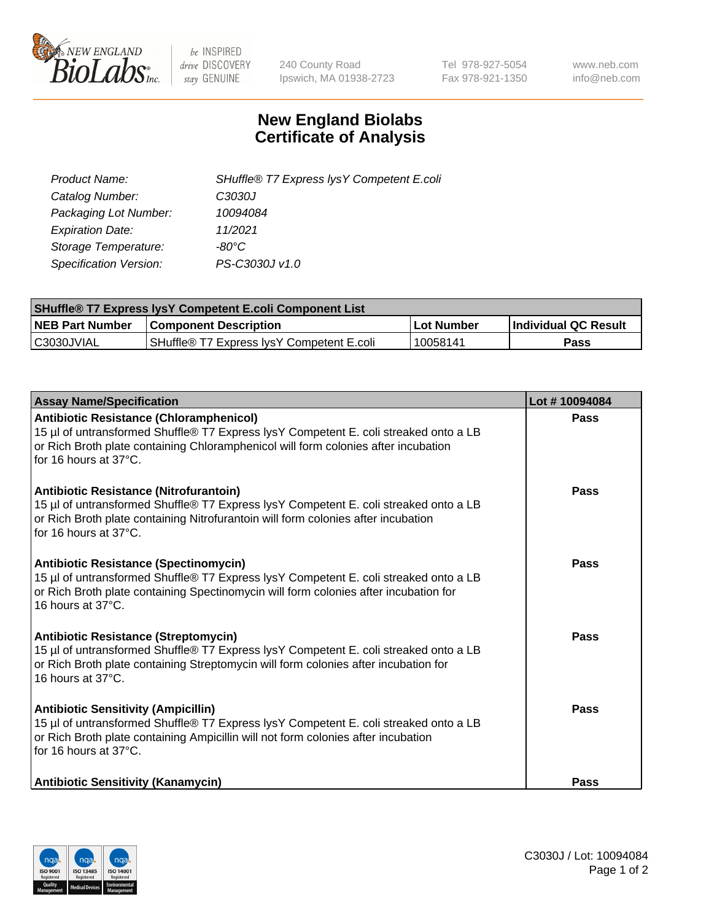

 $be$  INSPIRED drive DISCOVERY stay GENUINE

240 County Road Ipswich, MA 01938-2723 Tel 978-927-5054 Fax 978-921-1350 www.neb.com info@neb.com

## **New England Biolabs Certificate of Analysis**

| SHuffle® T7 Express lysY Competent E.coli |
|-------------------------------------------|
| C3030J                                    |
| 10094084                                  |
| 11/2021                                   |
| -80°C                                     |
| PS-C3030J v1.0                            |
|                                           |

| <b>SHuffle® T7 Express lysY Competent E.coli Component List</b> |                                           |                   |                             |  |
|-----------------------------------------------------------------|-------------------------------------------|-------------------|-----------------------------|--|
| <b>NEB Part Number</b>                                          | <b>Component Description</b>              | <b>Lot Number</b> | <b>Individual QC Result</b> |  |
| C3030JVIAL                                                      | SHuffle® T7 Express IysY Competent E.coli | 10058141          | Pass                        |  |

| <b>Assay Name/Specification</b>                                                                                                                                                                                                                       | Lot #10094084 |
|-------------------------------------------------------------------------------------------------------------------------------------------------------------------------------------------------------------------------------------------------------|---------------|
| <b>Antibiotic Resistance (Chloramphenicol)</b><br>15 µl of untransformed Shuffle® T7 Express lysY Competent E. coli streaked onto a LB<br>or Rich Broth plate containing Chloramphenicol will form colonies after incubation<br>for 16 hours at 37°C. | <b>Pass</b>   |
| Antibiotic Resistance (Nitrofurantoin)<br>15 µl of untransformed Shuffle® T7 Express lysY Competent E. coli streaked onto a LB<br>or Rich Broth plate containing Nitrofurantoin will form colonies after incubation<br>for 16 hours at 37°C.          | Pass          |
| <b>Antibiotic Resistance (Spectinomycin)</b><br>15 µl of untransformed Shuffle® T7 Express lysY Competent E. coli streaked onto a LB<br>or Rich Broth plate containing Spectinomycin will form colonies after incubation for<br>16 hours at 37°C.     | Pass          |
| <b>Antibiotic Resistance (Streptomycin)</b><br>15 µl of untransformed Shuffle® T7 Express lysY Competent E. coli streaked onto a LB<br>or Rich Broth plate containing Streptomycin will form colonies after incubation for<br>16 hours at 37°C.       | Pass          |
| <b>Antibiotic Sensitivity (Ampicillin)</b><br>15 µl of untransformed Shuffle® T7 Express lysY Competent E. coli streaked onto a LB<br>or Rich Broth plate containing Ampicillin will not form colonies after incubation<br>for 16 hours at 37°C.      | Pass          |
| <b>Antibiotic Sensitivity (Kanamycin)</b>                                                                                                                                                                                                             | Pass          |